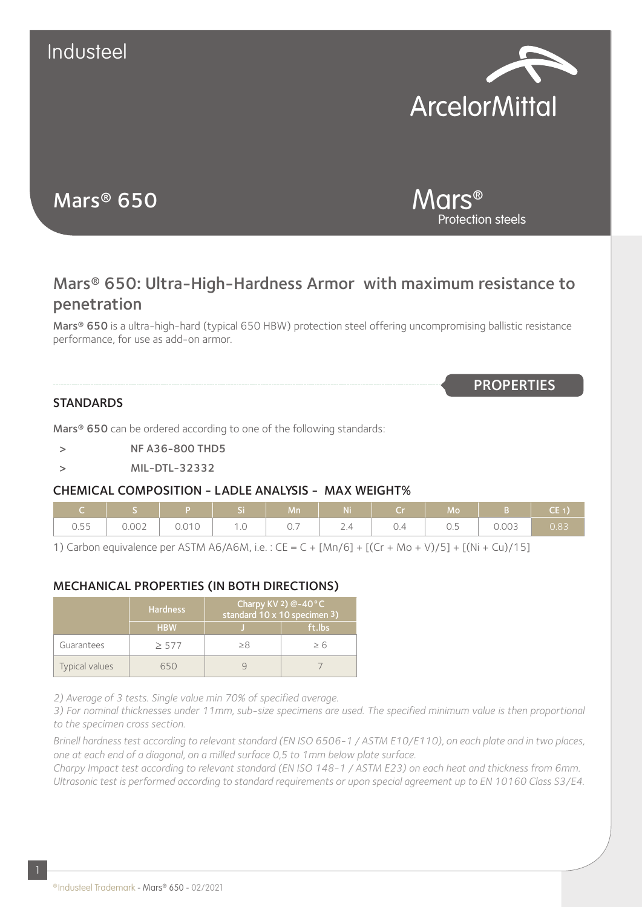

Protection steels

Mars®

**PROPERTIES** 

# Mars® 650

Mars® 650: Ultra-High-Hardness Armor with maximum resistance to penetration

Mars® 650 is a ultra-high-hard (typical 650 HBW) protection steel offering uncompromising ballistic resistance performance, for use as add-on armor.

#### **STANDARDS**

Mars<sup>®</sup> 650 can be ordered according to one of the following standards:

- > NF A36-800 THD5
- > MIL-DTL-32332

#### CHEMICAL COMPOSITION - LADLE ANALYSIS - MAX WEIGHT%

|      | IS PISI       |           | Mn | <b>Ni</b>   | $Cr$ and $Cr$ and $Cr$ and $Cr$ | Mo  |       | $CE_1$      |
|------|---------------|-----------|----|-------------|---------------------------------|-----|-------|-------------|
| 0.55 | $0.002$ 0.010 | $1.0$ 0.7 |    | $\vert$ 2.4 |                                 | 0.5 | 0.003 | $\sim$ 0.83 |

1) Carbon equivalence per ASTM A6/A6M, i.e. : CE = C + [Mn/6] + [(Cr + Mo + V)/5] + [(Ni + Cu)/15]

## MECHANICAL PROPERTIES (IN BOTH DIRECTIONS)

|                | <b>Hardness</b> | Charpy KV 2) @-40°C<br>standard 10 x 10 specimen 3) |        |  |  |
|----------------|-----------------|-----------------------------------------------------|--------|--|--|
|                | <b>HBW</b>      |                                                     | ft.lbs |  |  |
| Guarantees     | $\geq$ 577      | > 8                                                 | > 6    |  |  |
| Typical values | 650             |                                                     |        |  |  |

*2) Average of 3 tests. Single value min 70% of specified average.*

*3) For nominal thicknesses under 11mm, sub-size specimens are used. The specified minimum value is then proportional to the specimen cross section.*

*Brinell hardness test according to relevant standard (EN ISO 6506-1 / ASTM E10/E110), on each plate and in two places, one at each end of a diagonal, on a milled surface 0,5 to 1mm below plate surface.*

*Charpy Impact test according to relevant standard (EN ISO 148-1 / ASTM E23) on each heat and thickness from 6mm. Ultrasonic test is performed according to standard requirements or upon special agreement up to EN 10160 Class S3/E4.*